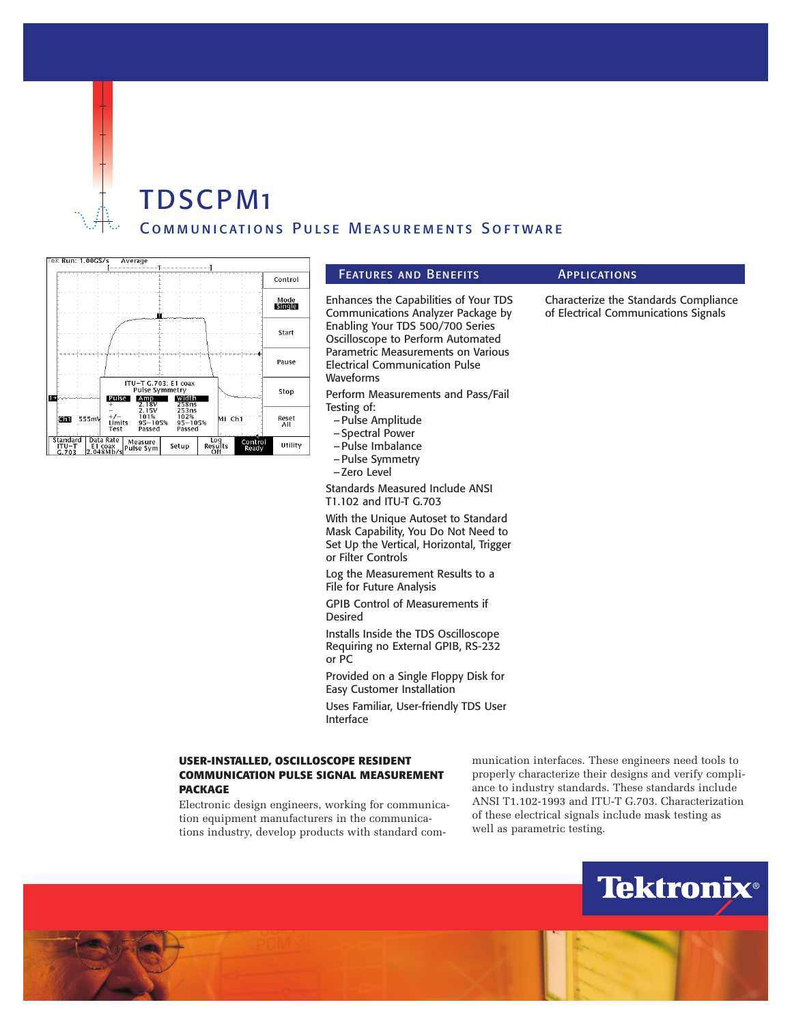

# TDSCPM1 Communications Pulse Measurements Software

| Tek Run: 1.00GS/s            |       |                                   | Average                                                             |                                        |                       |                  |                        |
|------------------------------|-------|-----------------------------------|---------------------------------------------------------------------|----------------------------------------|-----------------------|------------------|------------------------|
|                              |       |                                   |                                                                     |                                        |                       |                  | Control                |
|                              |       |                                   | Ŵ                                                                   |                                        |                       |                  | Mode<br><b>Bingles</b> |
|                              |       |                                   |                                                                     |                                        |                       |                  | Start                  |
|                              |       |                                   |                                                                     |                                        |                       |                  | Pause                  |
| 1 -                          |       | <b>Pulse</b>                      | ITU-T G.703: E1 coax<br>Pulse Symmetry<br>$\frac{\text{Amp}}{2.18}$ | -width<br>258ns                        |                       |                  | Stop                   |
| Chi                          | 555mV | $+/-$<br>Limits<br>Test           | 2.15V<br>101%<br>$95 - 105%$<br>Passed                              | 253ns<br>102%<br>$95 - 105%$<br>Passed |                       | MI Chi           | Reset<br>All           |
| Standard<br>$ITU-T$<br>G.703 |       | Data Rate<br>E1 coax<br>2.048Mb/s | Measure<br>Pulse Sym                                                | Setup                                  | Log<br>Results<br>Off | Control<br>Ready | Utility                |

### FEATURES AND BENEFITS **APPLICATIONS**

Enhances the Capabilities of Your TDS Communications Analyzer Package by Enabling Your TDS 500/700 Series Oscilloscope to Perform Automated Parametric Measurements on Various Electrical Communication Pulse Waveforms

Perform Measurements and Pass/Fail Testing of:

- –Pulse Amplitude
- –Spectral Power
- –Pulse Imbalance
- –Pulse Symmetry
- –Zero Level

Standards Measured Include ANSI T1.102 and ITU-T G.703

With the Unique Autoset to Standard Mask Capability, You Do Not Need to Set Up the Vertical, Horizontal, Trigger or Filter Controls

Log the Measurement Results to a File for Future Analysis

GPIB Control of Measurements if Desired

Installs Inside the TDS Oscilloscope Requiring no External GPIB, RS-232 or PC

Provided on a Single Floppy Disk for Easy Customer Installation

Uses Familiar, User-friendly TDS User Interface

## **USER-INSTALLED, OSCILLOSCOPE RESIDENT COMMUNICATION PULSE SIGNAL MEASUREMENT PACKAGE**

Electronic design engineers, working for communication equipment manufacturers in the communications industry, develop products with standard communication interfaces. These engineers need tools to properly characterize their designs and verify compliance to industry standards. These standards include ANSI T1.102-1993 and ITU-T G.703. Characterization of these electrical signals include mask testing as well as parametric testing.



# Characterize the Standards Compliance

of Electrical Communications Signals